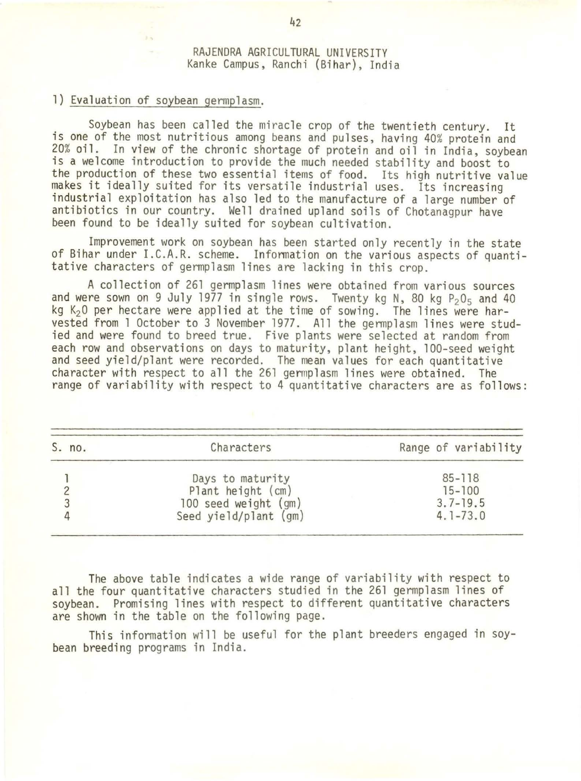## RAJENDRA AGRICULTURAL UNIVERSITY Kanke Campus, Ranchi (Bihar), India

## 1) Evaluation of soybean germplasm.

Soybean has been called the miracle crop of the twentieth century. It is one of the most nutritious among beans and pulses, having 40% protein and<br>20% oil. In view of the chronic shortage of protein and oil in India, soybean is a welcome introduction to provide the much needed stability and boost to the production of these two essential items of food. Its high nutritive value makes it ideally suited for its versatile industrial uses. Its increasing industrial exploitation has also led to the manufacture of a large number of antibiotics in our country. Well drained upland soils of Chotanagpur have been found to be ideally suited for soybean cultivation.

Improvement work on soybean has been started only recently in the state of Bihar under I.C.A.R. scheme. Infonnation on the various aspects of quanti- tative characters of germplasm lines are lacking in this crop.

A collection of 261 germplasm lines were obtained from various sources and were sown on 9 July 1977 in single rows. Twenty kg N, 80 kg  $P_2O_5$  and 40 kg K<sub>2</sub>0 per hectare were applied at the time of sowing. The lines were harvested from 1 October to 3 November 1977. All the gennplasm lines were stud- ied and were found to breed true. Five plants were selected at random from each row and observations on days to maturity, plant height, 100-seed weight and seed yield/plant were recorded. The mean values for each quantitative character with respect to all the 261 germplasm lines were obtained. The range of variability with respect to 4 quantitative characters are as follows:

| S. no. | Characters            | Range of variability |
|--------|-----------------------|----------------------|
|        | Days to maturity      | $85 - 118$           |
|        | Plant height (cm)     | $15 - 100$           |
| 3      | 100 seed weight (gm)  | $3.7 - 19.5$         |
| 4      | Seed yield/plant (gm) | $4.1 - 73.0$         |

The above table indicates a wide range of variability with respect to all the four quantitative characters studied in the 261 germplasm lines of soybean. Promising lines with respect to different quantitative characters are shown in the table on the following page.

This information will be useful for the plant breeders engaged in soybean breeding programs in India.